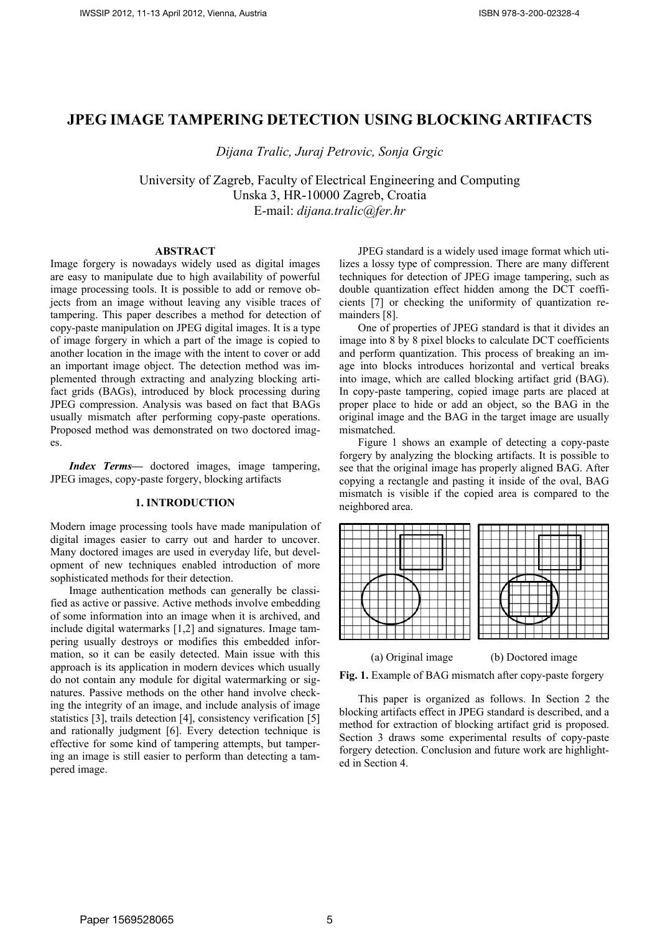# **JPEG IMAGE TAMPERING DETECTION USING BLOCKING ARTIFACTS**

*Dijana Tralic, Juraj Petrovic, Sonja Grgic*

University of Zagreb, Faculty of Electrical Engineering and Computing Unska 3, HR-10000 Zagreb, Croatia E-mail: *dijana.tralic@fer.hr*

#### **ABSTRACT**

Image forgery is nowadays widely used as digital images are easy to manipulate due to high availability of powerful image processing tools. It is possible to add or remove objects from an image without leaving any visible traces of tampering. This paper describes a method for detection of copy-paste manipulation on JPEG digital images. It is a type of image forgery in which a part of the image is copied to another location in the image with the intent to cover or add an important image object. The detection method was implemented through extracting and analyzing blocking artifact grids (BAGs), introduced by block processing during JPEG compression. Analysis was based on fact that BAGs usually mismatch after performing copy-paste operations. Proposed method was demonstrated on two doctored images.

*Index Terms***—** doctored images, image tampering, JPEG images, copy-paste forgery, blocking artifacts

## **1. INTRODUCTION**

Modern image processing tools have made manipulation of digital images easier to carry out and harder to uncover. Many doctored images are used in everyday life, but development of new techniques enabled introduction of more sophisticated methods for their detection.

Image authentication methods can generally be classified as active or passive. Active methods involve embedding of some information into an image when it is archived, and include digital watermarks [1,2] and signatures. Image tampering usually destroys or modifies this embedded information, so it can be easily detected. Main issue with this approach is its application in modern devices which usually do not contain any module for digital watermarking or signatures. Passive methods on the other hand involve checking the integrity of an image, and include analysis of image statistics [3], trails detection [4], consistency verification [5] and rationally judgment [6]. Every detection technique is effective for some kind of tampering attempts, but tampering an image is still easier to perform than detecting a tampered image.

JPEG standard is a widely used image format which utilizes a lossy type of compression. There are many different techniques for detection of JPEG image tampering, such as double quantization effect hidden among the DCT coefficients [7] or checking the uniformity of quantization remainders [8].

One of properties of JPEG standard is that it divides an image into 8 by 8 pixel blocks to calculate DCT coefficients and perform quantization. This process of breaking an image into blocks introduces horizontal and vertical breaks into image, which are called blocking artifact grid (BAG). In copy-paste tampering, copied image parts are placed at proper place to hide or add an object, so the BAG in the original image and the BAG in the target image are usually mismatched.

Figure 1 shows an example of detecting a copy-paste forgery by analyzing the blocking artifacts. It is possible to see that the original image has properly aligned BAG. After copying a rectangle and pasting it inside of the oval, BAG mismatch is visible if the copied area is compared to the neighbored area.



Fig. 1. Example of BAG mismatch after copy-paste forgery

This paper is organized as follows. In Section 2 the blocking artifacts effect in JPEG standard is described, and a method for extraction of blocking artifact grid is proposed. Section 3 draws some experimental results of copy-paste forgery detection. Conclusion and future work are highlighted in Section 4.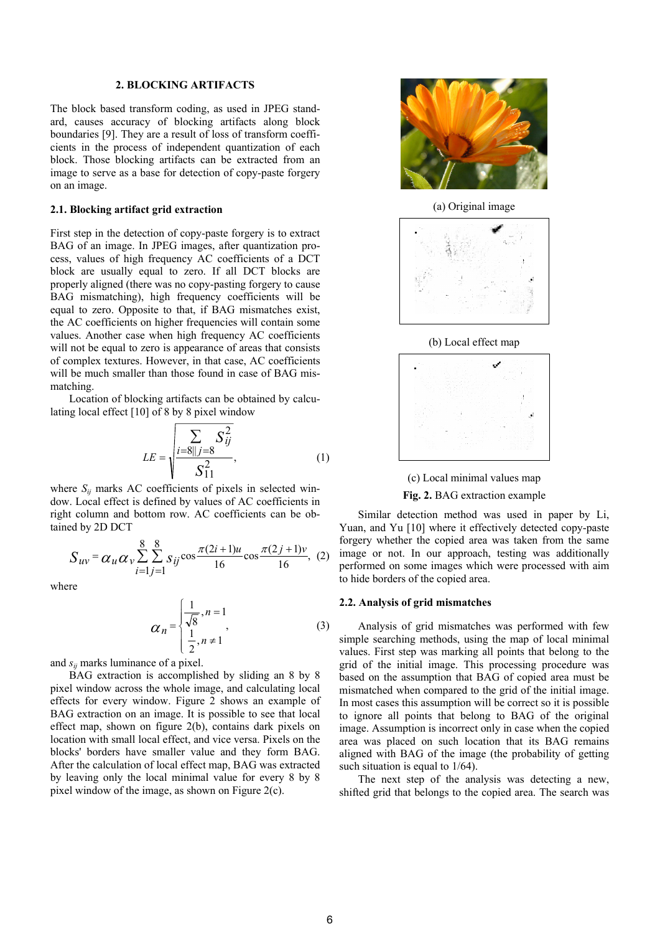## **2. BLOCKING ARTIFACTS**

The block based transform coding, as used in JPEG standard, causes accuracy of blocking artifacts along block boundaries [9]. They are a result of loss of transform coefficients in the process of independent quantization of each block. Those blocking artifacts can be extracted from an image to serve as a base for detection of copy-paste forgery on an image.

#### **2.1. Blocking artifact grid extraction**

First step in the detection of copy-paste forgery is to extract BAG of an image. In JPEG images, after quantization process, values of high frequency AC coefficients of a DCT block are usually equal to zero. If all DCT blocks are properly aligned (there was no copy-pasting forgery to cause BAG mismatching), high frequency coefficients will be equal to zero. Opposite to that, if BAG mismatches exist, the AC coefficients on higher frequencies will contain some values. Another case when high frequency AC coefficients will not be equal to zero is appearance of areas that consists of complex textures. However, in that case, AC coefficients will be much smaller than those found in case of BAG mismatching.

Location of blocking artifacts can be obtained by calculating local effect [10] of 8 by 8 pixel window

$$
LE = \sqrt{\frac{\sum_{i=8||j=8} S_{ij}^2}{S_{11}^2}},
$$
 (1)

where  $S_{ii}$  marks AC coefficients of pixels in selected window. Local effect is defined by values of AC coefficients in right column and bottom row. AC coefficients can be obtained by 2D DCT

$$
S_{uv} = \alpha_u \alpha_v \sum_{i=1}^{8} \sum_{j=1}^{8} s_{ij} \cos \frac{\pi (2i+1)u}{16} \cos \frac{\pi (2j+1)v}{16}, \tag{2}
$$

where

$$
\alpha_n = \begin{cases} \frac{1}{\sqrt{8}}, n = 1\\ \frac{1}{2}, n \neq 1 \end{cases}
$$
 (3)

and *sij* marks luminance of a pixel.

BAG extraction is accomplished by sliding an 8 by 8 pixel window across the whole image, and calculating local effects for every window. Figure 2 shows an example of BAG extraction on an image. It is possible to see that local effect map, shown on figure 2(b), contains dark pixels on location with small local effect, and vice versa. Pixels on the blocks' borders have smaller value and they form BAG. After the calculation of local effect map, BAG was extracted by leaving only the local minimal value for every 8 by 8 pixel window of the image, as shown on Figure 2(c).



(a) Original image









Similar detection method was used in paper by Li, Yuan, and Yu [10] where it effectively detected copy-paste forgery whether the copied area was taken from the same image or not. In our approach, testing was additionally performed on some images which were processed with aim to hide borders of the copied area.

#### **2.2. Analysis of grid mismatches**

Analysis of grid mismatches was performed with few simple searching methods, using the map of local minimal values. First step was marking all points that belong to the grid of the initial image. This processing procedure was based on the assumption that BAG of copied area must be mismatched when compared to the grid of the initial image. In most cases this assumption will be correct so it is possible to ignore all points that belong to BAG of the original image. Assumption is incorrect only in case when the copied area was placed on such location that its BAG remains aligned with BAG of the image (the probability of getting such situation is equal to  $1/64$ ).

The next step of the analysis was detecting a new, shifted grid that belongs to the copied area. The search was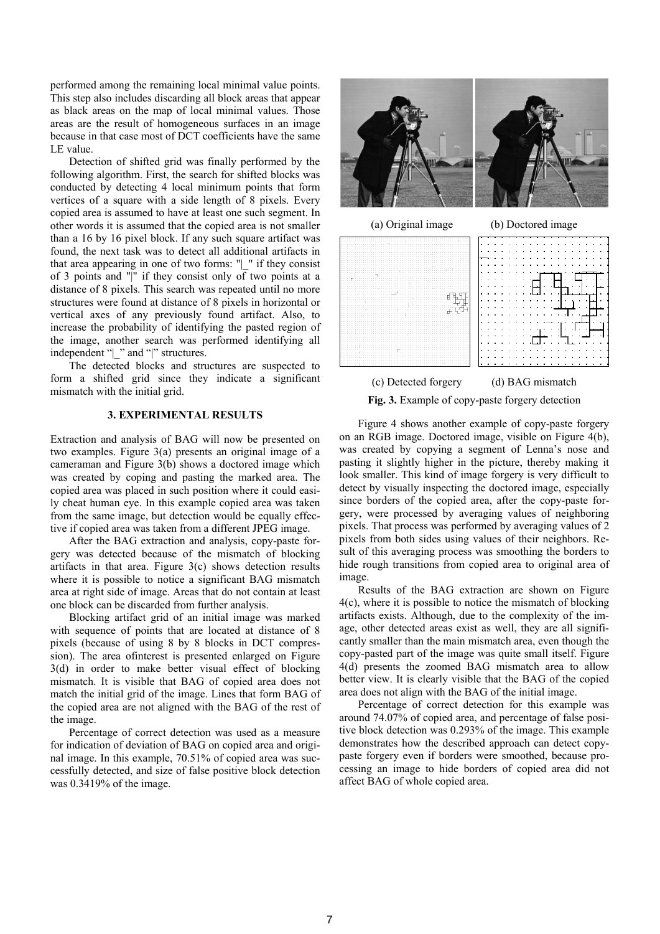performed among the remaining local minimal value points. This step also includes discarding all block areas that appear as black areas on the map of local minimal values. Those areas are the result of homogeneous surfaces in an image because in that case most of DCT coefficients have the same LE value.

Detection of shifted grid was finally performed by the following algorithm. First, the search for shifted blocks was conducted by detecting 4 local minimum points that form vertices of a square with a side length of 8 pixels. Every copied area is assumed to have at least one such segment. In other words it is assumed that the copied area is not smaller than a 16 by 16 pixel block. If any such square artifact was found, the next task was to detect all additional artifacts in that area appearing in one of two forms: "| " if they consist of 3 points and "|" if they consist only of two points at a distance of 8 pixels. This search was repeated until no more structures were found at distance of 8 pixels in horizontal or vertical axes of any previously found artifact. Also, to increase the probability of identifying the pasted region of the image, another search was performed identifying all independent "|\_" and "|" structures.

The detected blocks and structures are suspected to form a shifted grid since they indicate a significant mismatch with the initial grid.

## **3. EXPERIMENTAL RESULTS**

Extraction and analysis of BAG will now be presented on two examples. Figure 3(a) presents an original image of a cameraman and Figure 3(b) shows a doctored image which was created by coping and pasting the marked area. The copied area was placed in such position where it could easily cheat human eye. In this example copied area was taken from the same image, but detection would be equally effective if copied area was taken from a different JPEG image.

After the BAG extraction and analysis, copy-paste forgery was detected because of the mismatch of blocking artifacts in that area. Figure  $3(c)$  shows detection results where it is possible to notice a significant BAG mismatch area at right side of image. Areas that do not contain at least one block can be discarded from further analysis.

Blocking artifact grid of an initial image was marked with sequence of points that are located at distance of 8 pixels (because of using 8 by 8 blocks in DCT compression). The area ofinterest is presented enlarged on Figure 3(d) in order to make better visual effect of blocking mismatch. It is visible that BAG of copied area does not match the initial grid of the image. Lines that form BAG of the copied area are not aligned with the BAG of the rest of the image.

Percentage of correct detection was used as a measure for indication of deviation of BAG on copied area and original image. In this example, 70.51% of copied area was successfully detected, and size of false positive block detection was 0.3419% of the image.





(c) Detected forgery (d) BAG mismatch

**Fig. 3.** Example of copy-paste forgery detection

Figure 4 shows another example of copy-paste forgery on an RGB image. Doctored image, visible on Figure 4(b), was created by copying a segment of Lenna's nose and pasting it slightly higher in the picture, thereby making it look smaller. This kind of image forgery is very difficult to detect by visually inspecting the doctored image, especially since borders of the copied area, after the copy-paste forgery, were processed by averaging values of neighboring pixels. That process was performed by averaging values of 2 pixels from both sides using values of their neighbors. Result of this averaging process was smoothing the borders to hide rough transitions from copied area to original area of image.

Results of the BAG extraction are shown on Figure 4(c), where it is possible to notice the mismatch of blocking artifacts exists. Although, due to the complexity of the image, other detected areas exist as well, they are all significantly smaller than the main mismatch area, even though the copy-pasted part of the image was quite small itself. Figure 4(d) presents the zoomed BAG mismatch area to allow better view. It is clearly visible that the BAG of the copied area does not align with the BAG of the initial image.

Percentage of correct detection for this example was around 74.07% of copied area, and percentage of false positive block detection was 0.293% of the image. This example demonstrates how the described approach can detect copypaste forgery even if borders were smoothed, because processing an image to hide borders of copied area did not affect BAG of whole copied area.